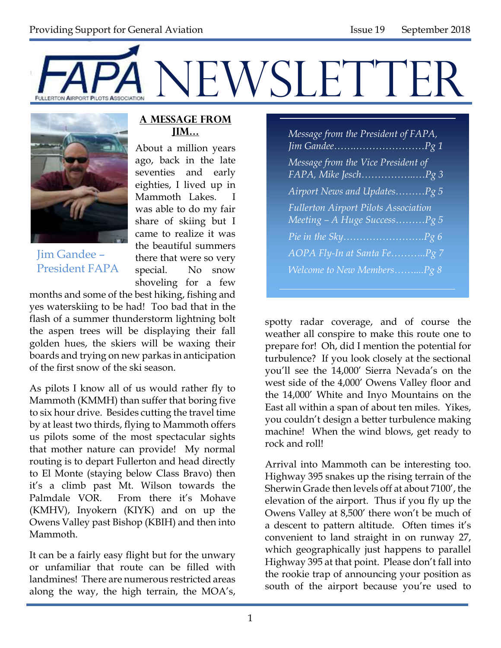



Jim Gandee – President FAPA

#### **A Message from Jim…**

About a million years ago, back in the late seventies and early eighties, I lived up in Mammoth Lakes. I was able to do my fair share of skiing but I came to realize it was the beautiful summers there that were so very special. No snow shoveling for a few

months and some of the best hiking, fishing and yes waterskiing to be had! Too bad that in the flash of a summer thunderstorm lightning bolt the aspen trees will be displaying their fall golden hues, the skiers will be waxing their boards and trying on new parkas in anticipation of the first snow of the ski season.

As pilots I know all of us would rather fly to Mammoth (KMMH) than suffer that boring five to six hour drive. Besides cutting the travel time by at least two thirds, flying to Mammoth offers us pilots some of the most spectacular sights that mother nature can provide! My normal routing is to depart Fullerton and head directly to El Monte (staying below Class Bravo) then it's a climb past Mt. Wilson towards the Palmdale VOR. From there it's Mohave (KMHV), Inyokern (KIYK) and on up the Owens Valley past Bishop (KBIH) and then into Mammoth.

It can be a fairly easy flight but for the unwary or unfamiliar that route can be filled with landmines! There are numerous restricted areas along the way, the high terrain, the MOA's,

| Message from the President of FAPA,                                         |
|-----------------------------------------------------------------------------|
| Message from the Vice President of<br>FAPA, Mike JeschPg 3                  |
| Airport News and UpdatesPg 5                                                |
| <b>Fullerton Airport Pilots Association</b><br>Meeting - A Huge SuccessPg 5 |
|                                                                             |
| AOPA Fly-In at Santa FePg 7                                                 |
| Welcome to New MembersPg 8                                                  |

spotty radar coverage, and of course the weather all conspire to make this route one to prepare for! Oh, did I mention the potential for turbulence? If you look closely at the sectional you'll see the 14,000' Sierra Nevada's on the west side of the 4,000' Owens Valley floor and the 14,000' White and Inyo Mountains on the East all within a span of about ten miles. Yikes, you couldn't design a better turbulence making machine! When the wind blows, get ready to rock and roll!

Arrival into Mammoth can be interesting too. Highway 395 snakes up the rising terrain of the Sherwin Grade then levels off at about 7100', the elevation of the airport. Thus if you fly up the Owens Valley at 8,500' there won't be much of a descent to pattern altitude. Often times it's convenient to land straight in on runway 27, which geographically just happens to parallel Highway 395 at that point. Please don't fall into the rookie trap of announcing your position as south of the airport because you're used to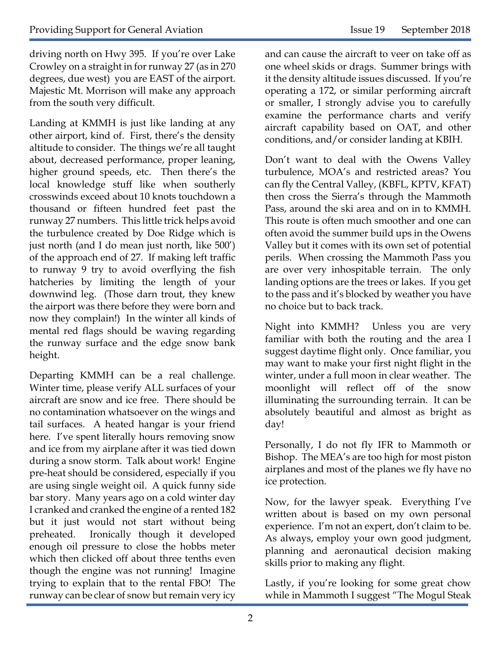driving north on Hwy 395. If you're over Lake Crowley on a straight in for runway 27 (as in 270 degrees, due west) you are EAST of the airport. Majestic Mt. Morrison will make any approach from the south very difficult.

Landing at KMMH is just like landing at any other airport, kind of. First, there's the density altitude to consider. The things we're all taught about, decreased performance, proper leaning, higher ground speeds, etc. Then there's the local knowledge stuff like when southerly crosswinds exceed about 10 knots touchdown a thousand or fifteen hundred feet past the runway 27 numbers. This little trick helps avoid the turbulence created by Doe Ridge which is just north (and I do mean just north, like 500') of the approach end of 27. If making left traffic to runway 9 try to avoid overflying the fish hatcheries by limiting the length of your downwind leg. (Those darn trout, they knew the airport was there before they were born and now they complain!) In the winter all kinds of mental red flags should be waving regarding the runway surface and the edge snow bank height.

Departing KMMH can be a real challenge. Winter time, please verify ALL surfaces of your aircraft are snow and ice free. There should be no contamination whatsoever on the wings and tail surfaces. A heated hangar is your friend here. I've spent literally hours removing snow and ice from my airplane after it was tied down during a snow storm. Talk about work! Engine pre-heat should be considered, especially if you are using single weight oil. A quick funny side bar story. Many years ago on a cold winter day I cranked and cranked the engine of a rented 182 but it just would not start without being preheated. Ironically though it developed enough oil pressure to close the hobbs meter which then clicked off about three tenths even though the engine was not running! Imagine trying to explain that to the rental FBO! The runway can be clear of snow but remain very icy

and can cause the aircraft to veer on take off as one wheel skids or drags. Summer brings with it the density altitude issues discussed. If you're operating a 172, or similar performing aircraft or smaller, I strongly advise you to carefully examine the performance charts and verify aircraft capability based on OAT, and other conditions, and/or consider landing at KBIH.

Don't want to deal with the Owens Valley turbulence, MOA's and restricted areas? You can fly the Central Valley, (KBFL, KPTV, KFAT) then cross the Sierra's through the Mammoth Pass, around the ski area and on in to KMMH. This route is often much smoother and one can often avoid the summer build ups in the Owens Valley but it comes with its own set of potential perils. When crossing the Mammoth Pass you are over very inhospitable terrain. The only landing options are the trees or lakes. If you get to the pass and it's blocked by weather you have no choice but to back track.

Night into KMMH? Unless you are very familiar with both the routing and the area I suggest daytime flight only. Once familiar, you may want to make your first night flight in the winter, under a full moon in clear weather. The moonlight will reflect off of the snow illuminating the surrounding terrain. It can be absolutely beautiful and almost as bright as day!

Personally, I do not fly IFR to Mammoth or Bishop. The MEA's are too high for most piston airplanes and most of the planes we fly have no ice protection.

Now, for the lawyer speak. Everything I've written about is based on my own personal experience. I'm not an expert, don't claim to be. As always, employ your own good judgment, planning and aeronautical decision making skills prior to making any flight.

Lastly, if you're looking for some great chow while in Mammoth I suggest "The Mogul Steak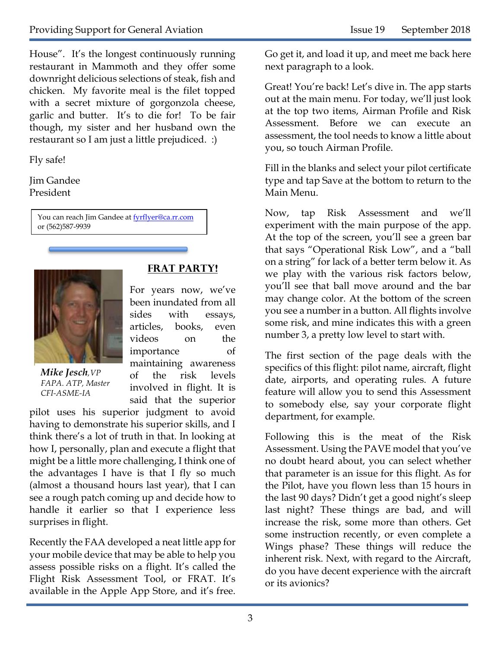House". It's the longest continuously running restaurant in Mammoth and they offer some downright delicious selections of steak, fish and chicken. My favorite meal is the filet topped with a secret mixture of gorgonzola cheese, garlic and butter. It's to die for! To be fair though, my sister and her husband own the restaurant so I am just a little prejudiced. :)

Fly safe!

Jim Gandee President

> You can reach Jim Gandee at **fyrflyer@ca.rr.com** or (562)587-9939



*Mike Jesch,VP FAPA. ATP, Master CFI-ASME-IA*

#### **frat party!**

For years now, we've been inundated from all sides with essays, articles, books, even videos on the importance of maintaining awareness of the risk levels involved in flight. It is said that the superior

pilot uses his superior judgment to avoid having to demonstrate his superior skills, and I think there's a lot of truth in that. In looking at how I, personally, plan and execute a flight that might be a little more challenging, I think one of the advantages I have is that I fly so much (almost a thousand hours last year), that I can see a rough patch coming up and decide how to handle it earlier so that I experience less surprises in flight.

Recently the FAA developed a neat little app for your mobile device that may be able to help you assess possible risks on a flight. It's called the Flight Risk Assessment Tool, or FRAT. It's available in the Apple App Store, and it's free. Go get it, and load it up, and meet me back here next paragraph to a look.

Great! You're back! Let's dive in. The app starts out at the main menu. For today, we'll just look at the top two items, Airman Profile and Risk Assessment. Before we can execute an assessment, the tool needs to know a little about you, so touch Airman Profile.

Fill in the blanks and select your pilot certificate type and tap Save at the bottom to return to the Main Menu.

Now, tap Risk Assessment and we'll experiment with the main purpose of the app. At the top of the screen, you'll see a green bar that says "Operational Risk Low", and a "ball on a string" for lack of a better term below it. As we play with the various risk factors below, you'll see that ball move around and the bar may change color. At the bottom of the screen you see a number in a button. All flights involve some risk, and mine indicates this with a green number 3, a pretty low level to start with.

The first section of the page deals with the specifics of this flight: pilot name, aircraft, flight date, airports, and operating rules. A future feature will allow you to send this Assessment to somebody else, say your corporate flight department, for example.

Following this is the meat of the Risk Assessment. Using the PAVE model that you've no doubt heard about, you can select whether that parameter is an issue for this flight. As for the Pilot, have you flown less than 15 hours in the last 90 days? Didn't get a good night's sleep last night? These things are bad, and will increase the risk, some more than others. Get some instruction recently, or even complete a Wings phase? These things will reduce the inherent risk. Next, with regard to the Aircraft, do you have decent experience with the aircraft or its avionics?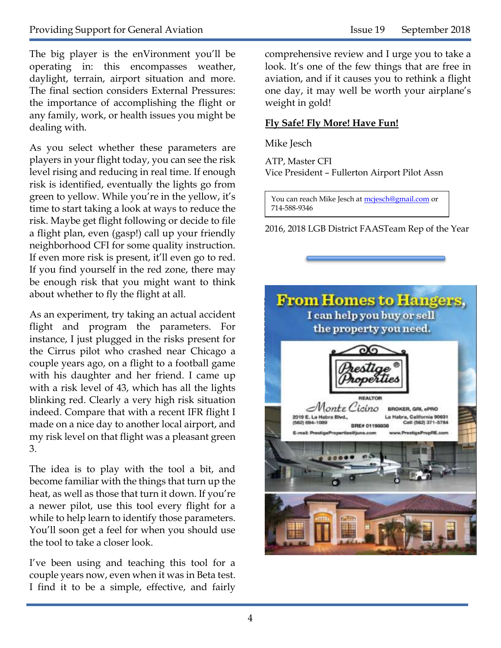The big player is the enVironment you'll be operating in: this encompasses weather, daylight, terrain, airport situation and more. The final section considers External Pressures: the importance of accomplishing the flight or any family, work, or health issues you might be dealing with.

As you select whether these parameters are players in your flight today, you can see the risk level rising and reducing in real time. If enough risk is identified, eventually the lights go from green to yellow. While you're in the yellow, it's time to start taking a look at ways to reduce the risk. Maybe get flight following or decide to file a flight plan, even (gasp!) call up your friendly neighborhood CFI for some quality instruction. If even more risk is present, it'll even go to red. If you find yourself in the red zone, there may be enough risk that you might want to think about whether to fly the flight at all.

As an experiment, try taking an actual accident flight and program the parameters. For instance, I just plugged in the risks present for the Cirrus pilot who crashed near Chicago a couple years ago, on a flight to a football game with his daughter and her friend. I came up with a risk level of 43, which has all the lights blinking red. Clearly a very high risk situation indeed. Compare that with a recent IFR flight I made on a nice day to another local airport, and my risk level on that flight was a pleasant green 3.

The idea is to play with the tool a bit, and become familiar with the things that turn up the heat, as well as those that turn it down. If you're a newer pilot, use this tool every flight for a while to help learn to identify those parameters. You'll soon get a feel for when you should use the tool to take a closer look.

I've been using and teaching this tool for a couple years now, even when it was in Beta test. I find it to be a simple, effective, and fairly comprehensive review and I urge you to take a look. It's one of the few things that are free in aviation, and if it causes you to rethink a flight one day, it may well be worth your airplane's weight in gold!

#### **Fly Safe! Fly More! Have Fun!**

Mike Jesch

ATP, Master CFI Vice President – Fullerton Airport Pilot Assn

You can reach Mike Jesch at [mcjesch@gmail.com](mailto:mcjesch@gmail.com) or 714-588-9346

2016, 2018 LGB District FAASTeam Rep of the Year

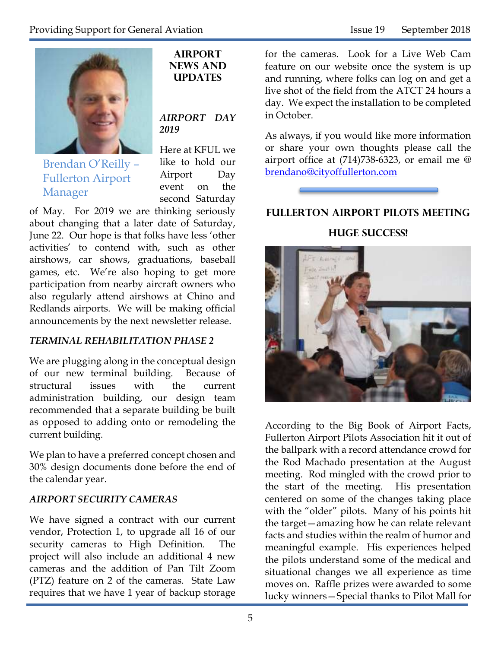

Brendan O'Reilly – Fullerton Airport Manager

**Airport News and Updates**

#### *AIRPORT DAY 2019*

Here at KFUL we like to hold our Airport Day event on the second Saturday

of May. For 2019 we are thinking seriously about changing that a later date of Saturday, June 22. Our hope is that folks have less 'other activities' to contend with, such as other airshows, car shows, graduations, baseball games, etc. We're also hoping to get more participation from nearby aircraft owners who also regularly attend airshows at Chino and Redlands airports. We will be making official announcements by the next newsletter release.

#### *TERMINAL REHABILITATION PHASE 2*

We are plugging along in the conceptual design of our new terminal building. Because of structural issues with the current administration building, our design team recommended that a separate building be built as opposed to adding onto or remodeling the current building.

We plan to have a preferred concept chosen and 30% design documents done before the end of the calendar year.

#### *AIRPORT SECURITY CAMERAS*

We have signed a contract with our current vendor, Protection 1, to upgrade all 16 of our security cameras to High Definition. The project will also include an additional 4 new cameras and the addition of Pan Tilt Zoom (PTZ) feature on 2 of the cameras. State Law requires that we have 1 year of backup storage

for the cameras. Look for a Live Web Cam feature on our website once the system is up and running, where folks can log on and get a live shot of the field from the ATCT 24 hours a day. We expect the installation to be completed in October.

As always, if you would like more information or share your own thoughts please call the airport office at (714)738-6323, or email me @ [brendano@cityoffullerton.com](mailto:brendano@cityoffullerton.com)



#### **Fullerton airport pilots meeting**

**Huge success!**



According to the Big Book of Airport Facts, Fullerton Airport Pilots Association hit it out of the ballpark with a record attendance crowd for the Rod Machado presentation at the August meeting. Rod mingled with the crowd prior to the start of the meeting. His presentation centered on some of the changes taking place with the "older" pilots. Many of his points hit the target—amazing how he can relate relevant facts and studies within the realm of humor and meaningful example. His experiences helped the pilots understand some of the medical and situational changes we all experience as time moves on. Raffle prizes were awarded to some lucky winners—Special thanks to Pilot Mall for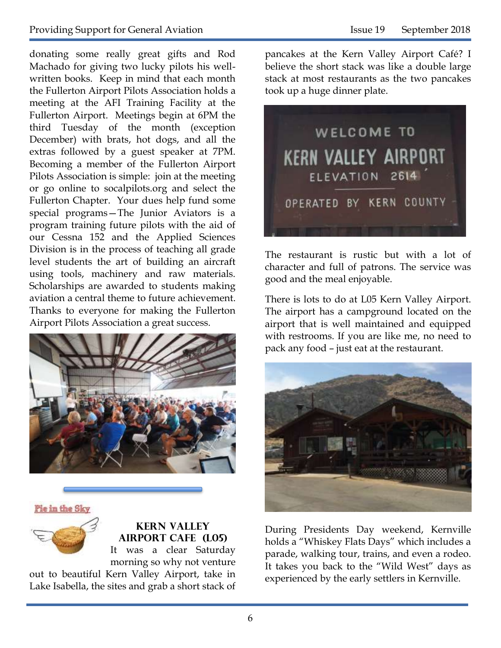donating some really great gifts and Rod Machado for giving two lucky pilots his wellwritten books. Keep in mind that each month the Fullerton Airport Pilots Association holds a meeting at the AFI Training Facility at the Fullerton Airport. Meetings begin at 6PM the third Tuesday of the month (exception December) with brats, hot dogs, and all the extras followed by a guest speaker at 7PM. Becoming a member of the Fullerton Airport Pilots Association is simple: join at the meeting or go online to socalpilots.org and select the Fullerton Chapter. Your dues help fund some special programs—The Junior Aviators is a program training future pilots with the aid of our Cessna 152 and the Applied Sciences Division is in the process of teaching all grade level students the art of building an aircraft using tools, machinery and raw materials. Scholarships are awarded to students making aviation a central theme to future achievement. Thanks to everyone for making the Fullerton Airport Pilots Association a great success.



#### Pie im the Sky



**Kern Valley Airport Cafe (L05)** It was a clear Saturday morning so why not venture

out to beautiful Kern Valley Airport, take in Lake Isabella, the sites and grab a short stack of pancakes at the Kern Valley Airport Café? I believe the short stack was like a double large stack at most restaurants as the two pancakes took up a huge dinner plate.



The restaurant is rustic but with a lot of character and full of patrons. The service was good and the meal enjoyable.

There is lots to do at L05 Kern Valley Airport. The airport has a campground located on the airport that is well maintained and equipped with restrooms. If you are like me, no need to pack any food – just eat at the restaurant.



During Presidents Day weekend, Kernville holds a "Whiskey Flats Days" which includes a parade, walking tour, trains, and even a rodeo. It takes you back to the "Wild West" days as experienced by the early settlers in Kernville.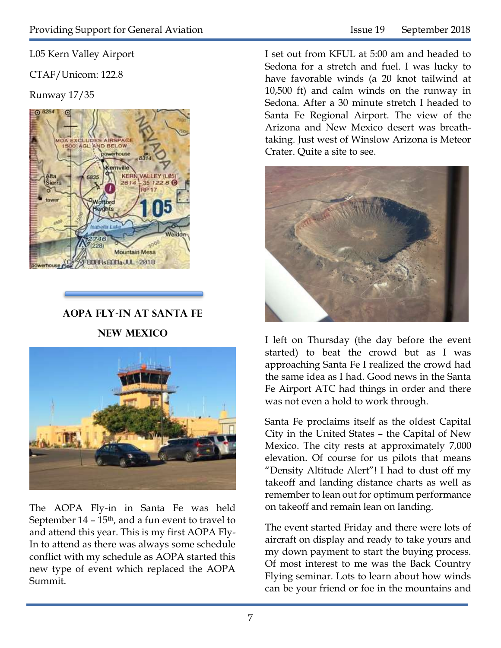L05 Kern Valley Airport

CTAF/Unicom: 122.8

Runway 17/35



**AOPA Fly-In at Santa Fe New Mexico**



The AOPA Fly-in in Santa Fe was held September  $14 - 15$ <sup>th</sup>, and a fun event to travel to and attend this year. This is my first AOPA Fly-In to attend as there was always some schedule conflict with my schedule as AOPA started this new type of event which replaced the AOPA Summit.

I set out from KFUL at 5:00 am and headed to Sedona for a stretch and fuel. I was lucky to have favorable winds (a 20 knot tailwind at 10,500 ft) and calm winds on the runway in Sedona. After a 30 minute stretch I headed to Santa Fe Regional Airport. The view of the Arizona and New Mexico desert was breathtaking. Just west of Winslow Arizona is Meteor Crater. Quite a site to see.



I left on Thursday (the day before the event started) to beat the crowd but as I was approaching Santa Fe I realized the crowd had the same idea as I had. Good news in the Santa Fe Airport ATC had things in order and there was not even a hold to work through.

Santa Fe proclaims itself as the oldest Capital City in the United States – the Capital of New Mexico. The city rests at approximately 7,000 elevation. Of course for us pilots that means "Density Altitude Alert"! I had to dust off my takeoff and landing distance charts as well as remember to lean out for optimum performance on takeoff and remain lean on landing.

The event started Friday and there were lots of aircraft on display and ready to take yours and my down payment to start the buying process. Of most interest to me was the Back Country Flying seminar. Lots to learn about how winds can be your friend or foe in the mountains and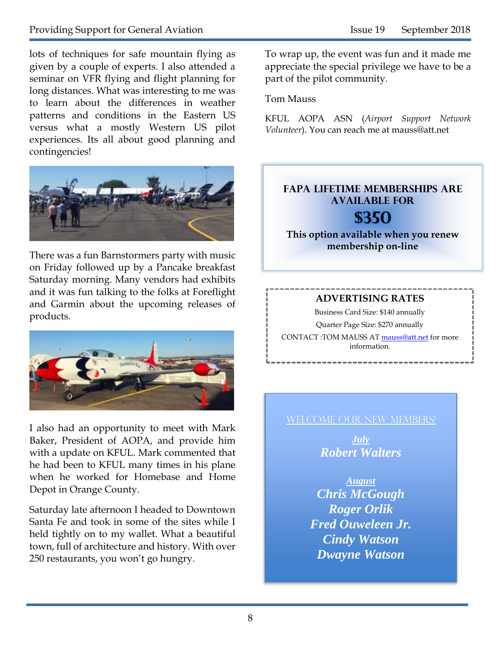#### Providing Support for General Aviation Issue 19 September 2018

lots of techniques for safe mountain flying as given by a couple of experts. I also attended a seminar on VFR flying and flight planning for long distances. What was interesting to me was to learn about the differences in weather patterns and conditions in the Eastern US versus what a mostly Western US pilot experiences. Its all about good planning and contingencies!



There was a fun Barnstormers party with music on Friday followed up by a Pancake breakfast Saturday morning. Many vendors had exhibits and it was fun talking to the folks at Foreflight and Garmin about the upcoming releases of products.



I also had an opportunity to meet with Mark Baker, President of AOPA, and provide him with a update on KFUL. Mark commented that he had been to KFUL many times in his plane when he worked for Homebase and Home Depot in Orange County.

Saturday late afternoon I headed to Downtown Santa Fe and took in some of the sites while I held tightly on to my wallet. What a beautiful town, full of architecture and history. With over 250 restaurants, you won't go hungry.

To wrap up, the event was fun and it made me appreciate the special privilege we have to be a part of the pilot community.

#### Tom Mauss

KFUL AOPA ASN (*Airport Support Network Volunteer*). You can reach me at mauss@att.net

#### **FAPA Lifetime memberships are available for \$350**

**This option available when you renew membership on-line**

#### **ADVERTISING RATES**

Business Card Size: \$140 annually

Quarter Page Size: \$270 annually CONTACT :TOM MAUSS AT [mauss@att.net](mailto:mauss@att.net) for more information.

### WELCOME OUR NEW MEMBERS!

*July Robert Walters*

*August Chris McGough Roger Orlik Fred Ouweleen Jr. Cindy Watson Dwayne Watson*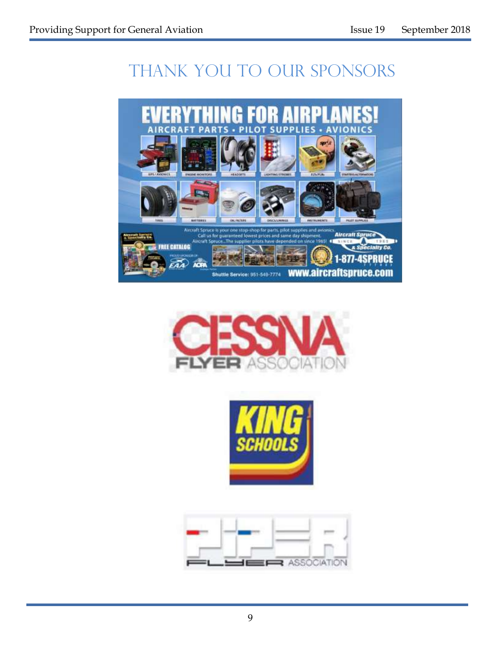# THANK YOU TO OUR SPONSORS